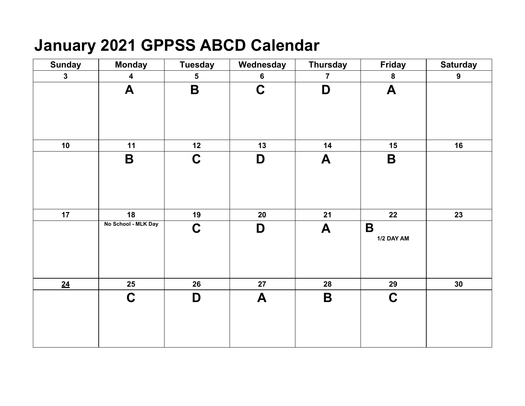# **January 2021 GPPSS ABCD Calendar**

| <b>Sunday</b> | <b>Monday</b>           | <b>Tuesday</b> | Wednesday      | <b>Thursday</b> | <b>Friday</b>             | <b>Saturday</b> |
|---------------|-------------------------|----------------|----------------|-----------------|---------------------------|-----------------|
| $\mathbf{3}$  | $\overline{\mathbf{4}}$ | 5              | $6\phantom{a}$ | $\overline{7}$  | ${\bf 8}$                 | 9               |
|               | $\blacktriangle$        | $\mathbf B$    | $\mathbf C$    | D               | $\blacktriangle$          |                 |
| 10            | 11                      | 12             | 13             | 14              | 15                        | 16              |
|               | $\mathbf B$             | $\mathbf C$    | D              | A               | B                         |                 |
| 17            | 18                      | 19             | 20             | 21              | 22                        | 23              |
|               | No School - MLK Day     | $\mathbf C$    | D              | A               | $\mathbf B$<br>1/2 DAY AM |                 |
| 24            | 25                      | 26             | 27             | 28              | 29                        | 30              |
|               | $\mathbf C$             | D              | A              | B               | $\mathbf C$               |                 |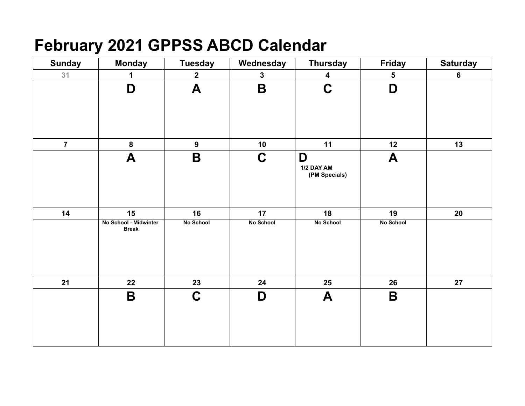# **February 2021 GPPSS ABCD Calendar**

| <b>Sunday</b>  | <b>Monday</b>                         | <b>Tuesday</b>   | Wednesday        | <b>Thursday</b>                  | <b>Friday</b>    | <b>Saturday</b> |
|----------------|---------------------------------------|------------------|------------------|----------------------------------|------------------|-----------------|
| 31             | 1                                     | $\mathbf{2}$     | $\mathbf{3}$     | $\overline{\mathbf{4}}$          | $\sqrt{5}$       | $\bf 6$         |
|                | D                                     | A                | B                | $\mathbf C$                      | D                |                 |
| $\overline{7}$ | 8                                     | $\overline{9}$   | 10               | 11                               | 12               | 13              |
|                | A                                     | $\mathbf B$      | $\mathbf C$      | D<br>1/2 DAY AM<br>(PM Specials) | A                |                 |
| 14             | 15                                    | 16               | 17               | 18                               | 19               | 20              |
|                | No School - Midwinter<br><b>Break</b> | <b>No School</b> | <b>No School</b> | <b>No School</b>                 | <b>No School</b> |                 |
| 21             | 22                                    | 23               | 24               | 25                               | 26               | 27              |
|                | $\mathbf B$                           | $\mathbf C$      | D                | A                                | B                |                 |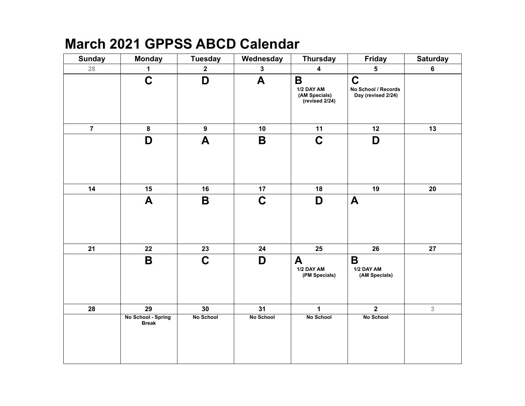### **March 2021 GPPSS ABCD Calendar**

| <b>Sunday</b>  | <b>Monday</b>                      | <b>Tuesday</b> | Wednesday   | <b>Thursday</b>                                    | Friday                                                   | <b>Saturday</b> |
|----------------|------------------------------------|----------------|-------------|----------------------------------------------------|----------------------------------------------------------|-----------------|
| 28             | $\mathbf 1$                        | $\mathbf{2}$   | $\mathbf 3$ | $\overline{\mathbf{4}}$                            | 5                                                        | $6\phantom{a}$  |
|                | $\mathbf C$                        | D              | A           | B<br>1/2 DAY AM<br>(AM Specials)<br>(revised 2/24) | $\mathbf C$<br>No School / Records<br>Day (revised 2/24) |                 |
| $\overline{7}$ | 8                                  | 9              | 10          | 11                                                 | 12                                                       | 13              |
|                | D                                  | A              | $\mathsf B$ | $\mathbf C$                                        | D                                                        |                 |
| 14             | 15                                 | 16             | 17          | 18                                                 | 19                                                       | 20              |
|                | A                                  | B              | $\mathbf C$ | D                                                  | $\blacktriangle$                                         |                 |
| 21             | 22                                 | 23             | 24          | 25                                                 | 26                                                       | 27              |
|                | B                                  | $\mathbf C$    | D           | A<br>1/2 DAY AM<br>(PM Specials)                   | $\mathbf B$<br>1/2 DAY AM<br>(AM Specials)               |                 |
| 28             | 29                                 | 30             | 31          | $\mathbf{1}$                                       | $\overline{2}$                                           | $\overline{3}$  |
|                | No School - Spring<br><b>Break</b> | No School      | No School   | No School                                          | No School                                                |                 |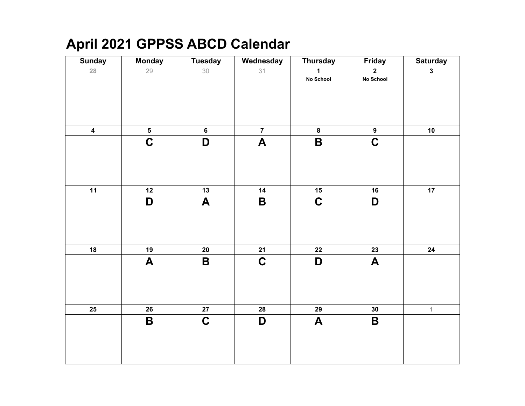## **April 2021 GPPSS ABCD Calendar**

| <b>Sunday</b>           | <b>Monday</b>             | <b>Tuesday</b>            | Wednesday          | <b>Thursday</b>  | <b>Friday</b>    | <b>Saturday</b> |
|-------------------------|---------------------------|---------------------------|--------------------|------------------|------------------|-----------------|
| 28                      | 29                        | 30                        | 31                 | $\mathbf{1}$     | $\mathbf{2}$     | $\mathbf{3}$    |
|                         |                           |                           |                    | No School        | No School        |                 |
|                         |                           |                           |                    |                  |                  |                 |
|                         |                           |                           |                    |                  |                  |                 |
|                         |                           |                           |                    |                  |                  |                 |
|                         |                           |                           |                    |                  |                  |                 |
| $\overline{\mathbf{4}}$ | $\overline{\mathbf{5}}$   | $6\phantom{1}$            | $\overline{7}$     | $\bf{8}$         | 9                | 10              |
|                         | $\overline{C}$            | D                         | $\boldsymbol{A}$   | $\mathsf B$      | $\mathbf C$      |                 |
|                         |                           |                           |                    |                  |                  |                 |
|                         |                           |                           |                    |                  |                  |                 |
|                         |                           |                           |                    |                  |                  |                 |
|                         |                           |                           |                    |                  |                  |                 |
| 11                      | 12                        | 13                        | 14                 | 15               | 16               | 17              |
|                         | D                         | $\boldsymbol{\mathsf{A}}$ | $\pmb{\mathsf{B}}$ | $\mathbf C$      | D                |                 |
|                         |                           |                           |                    |                  |                  |                 |
|                         |                           |                           |                    |                  |                  |                 |
|                         |                           |                           |                    |                  |                  |                 |
|                         |                           |                           |                    |                  |                  |                 |
| 18                      | 19                        | ${\bf 20}$                | 21                 | $22$             | 23               | 24              |
|                         | $\boldsymbol{\mathsf{A}}$ | $\pmb{\mathsf{B}}$        | $\mathbf C$        | D                | $\boldsymbol{A}$ |                 |
|                         |                           |                           |                    |                  |                  |                 |
|                         |                           |                           |                    |                  |                  |                 |
|                         |                           |                           |                    |                  |                  |                 |
|                         |                           |                           |                    |                  |                  |                 |
| 25                      | 26                        | ${\bf 27}$                | 28                 | 29               | 30               | $\mathbf{1}$    |
|                         | $\mathbf B$               | $\mathbf C$               | D                  | $\boldsymbol{A}$ | $\mathbf B$      |                 |
|                         |                           |                           |                    |                  |                  |                 |
|                         |                           |                           |                    |                  |                  |                 |
|                         |                           |                           |                    |                  |                  |                 |
|                         |                           |                           |                    |                  |                  |                 |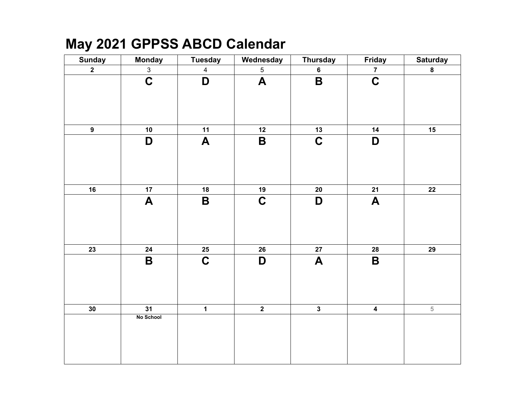### **May 2021 GPPSS ABCD Calendar**

| <b>Sunday</b>           | <b>Monday</b>    | <b>Tuesday</b>            | Wednesday               | <b>Thursday</b>         | Friday                  | <b>Saturday</b> |
|-------------------------|------------------|---------------------------|-------------------------|-------------------------|-------------------------|-----------------|
| $\overline{\mathbf{2}}$ | $\mathbf{3}$     | $\overline{4}$            | $5\phantom{.0}$         | $\bf 6$                 | $\overline{7}$          | $\bf{8}$        |
|                         | $\mathbf C$      | D                         | $\boldsymbol{A}$        | $\mathsf B$             | $\mathbf C$             |                 |
| $\boldsymbol{9}$        | 10               | 11                        | 12                      | 13                      | 14                      | 15              |
|                         | D                | $\boldsymbol{\mathsf{A}}$ | $\overline{\mathbf{B}}$ | $\mathbf C$             | D                       |                 |
| 16                      | 17               | 18                        | 19                      | 20                      | 21                      | 22              |
|                         | $\boldsymbol{A}$ | B                         | $\mathbf C$             | D                       | A                       |                 |
| $\overline{23}$         | 24               | $25\phantom{.0}$          | 26                      | 27                      | 28                      | 29              |
|                         | $\mathbf B$      | $\mathbf C$               | D                       | $\blacktriangle$        | B                       |                 |
| 30                      | 31               | $\overline{\mathbf{1}}$   | $\overline{2}$          | $\overline{\mathbf{3}}$ | $\overline{\mathbf{4}}$ | $\overline{5}$  |
|                         | No School        |                           |                         |                         |                         |                 |